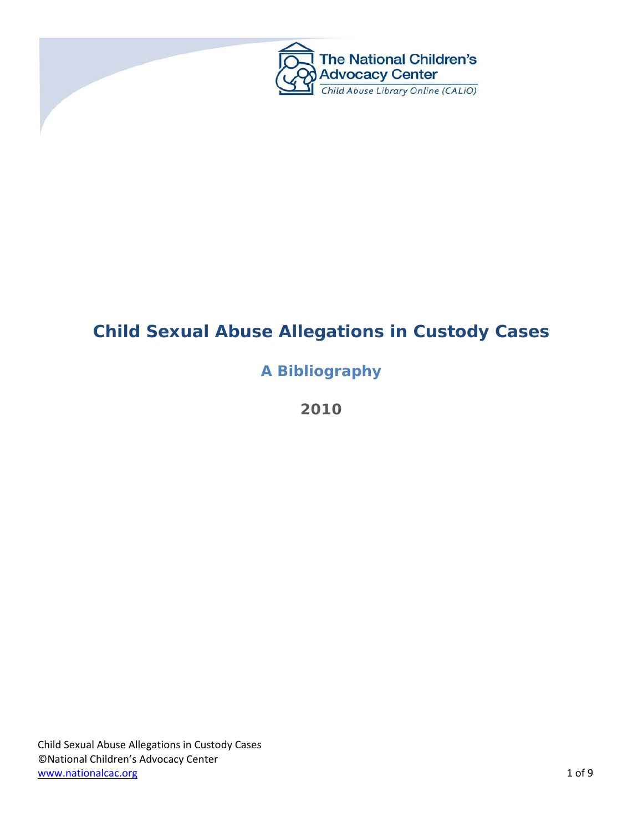

## **Child Sexual Abuse Allegations in Custody Cases**

## **A Bibliography**

**2010**

Child Sexual Abuse Allegations in Custody Cases ©National Children's Advocacy Center www.nationalcac.org 1 of 9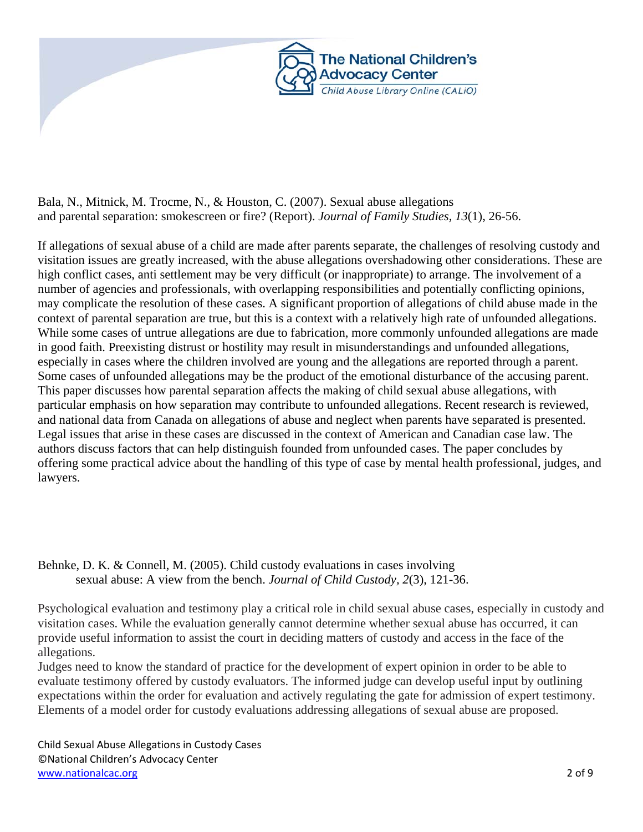

Bala, N., Mitnick, M. Trocme, N., & Houston, C. (2007). Sexual abuse allegations and parental separation: smokescreen or fire? (Report). *Journal of Family Studies, 13*(1), 26-56.

If allegations of sexual abuse of a child are made after parents separate, the challenges of resolving custody and visitation issues are greatly increased, with the abuse allegations overshadowing other considerations. These are high conflict cases, anti settlement may be very difficult (or inappropriate) to arrange. The involvement of a number of agencies and professionals, with overlapping responsibilities and potentially conflicting opinions, may complicate the resolution of these cases. A significant proportion of allegations of child abuse made in the context of parental separation are true, but this is a context with a relatively high rate of unfounded allegations. While some cases of untrue allegations are due to fabrication, more commonly unfounded allegations are made in good faith. Preexisting distrust or hostility may result in misunderstandings and unfounded allegations, especially in cases where the children involved are young and the allegations are reported through a parent. Some cases of unfounded allegations may be the product of the emotional disturbance of the accusing parent. This paper discusses how parental separation affects the making of child sexual abuse allegations, with particular emphasis on how separation may contribute to unfounded allegations. Recent research is reviewed, and national data from Canada on allegations of abuse and neglect when parents have separated is presented. Legal issues that arise in these cases are discussed in the context of American and Canadian case law. The authors discuss factors that can help distinguish founded from unfounded cases. The paper concludes by offering some practical advice about the handling of this type of case by mental health professional, judges, and lawyers.

Behnke, D. K. & Connell, M. (2005). Child custody evaluations in cases involving sexual abuse: A view from the bench. *Journal of Child Custody, 2*(3), 121-36.

Psychological evaluation and testimony play a critical role in child sexual abuse cases, especially in custody and visitation cases. While the evaluation generally cannot determine whether sexual abuse has occurred, it can provide useful information to assist the court in deciding matters of custody and access in the face of the allegations.

Judges need to know the standard of practice for the development of expert opinion in order to be able to evaluate testimony offered by custody evaluators. The informed judge can develop useful input by outlining expectations within the order for evaluation and actively regulating the gate for admission of expert testimony. Elements of a model order for custody evaluations addressing allegations of sexual abuse are proposed.

Child Sexual Abuse Allegations in Custody Cases ©National Children's Advocacy Center www.nationalcac.org **2** of 9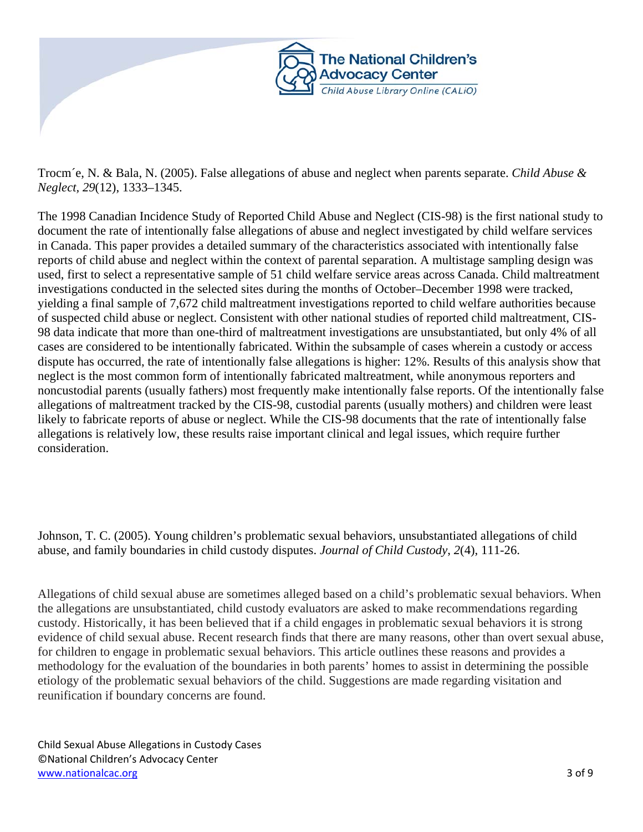

Trocm´e, N. & Bala, N. (2005). False allegations of abuse and neglect when parents separate. *Child Abuse & Neglect, 29*(12), 1333–1345.

The 1998 Canadian Incidence Study of Reported Child Abuse and Neglect (CIS-98) is the first national study to document the rate of intentionally false allegations of abuse and neglect investigated by child welfare services in Canada. This paper provides a detailed summary of the characteristics associated with intentionally false reports of child abuse and neglect within the context of parental separation. A multistage sampling design was used, first to select a representative sample of 51 child welfare service areas across Canada. Child maltreatment investigations conducted in the selected sites during the months of October–December 1998 were tracked, yielding a final sample of 7,672 child maltreatment investigations reported to child welfare authorities because of suspected child abuse or neglect. Consistent with other national studies of reported child maltreatment, CIS-98 data indicate that more than one-third of maltreatment investigations are unsubstantiated, but only 4% of all cases are considered to be intentionally fabricated. Within the subsample of cases wherein a custody or access dispute has occurred, the rate of intentionally false allegations is higher: 12%. Results of this analysis show that neglect is the most common form of intentionally fabricated maltreatment, while anonymous reporters and noncustodial parents (usually fathers) most frequently make intentionally false reports. Of the intentionally false allegations of maltreatment tracked by the CIS-98, custodial parents (usually mothers) and children were least likely to fabricate reports of abuse or neglect. While the CIS-98 documents that the rate of intentionally false allegations is relatively low, these results raise important clinical and legal issues, which require further consideration.

Johnson, T. C. (2005). Young children's problematic sexual behaviors, unsubstantiated allegations of child abuse, and family boundaries in child custody disputes. *Journal of Child Custody*, *2*(4), 111-26.

Allegations of child sexual abuse are sometimes alleged based on a child's problematic sexual behaviors. When the allegations are unsubstantiated, child custody evaluators are asked to make recommendations regarding custody. Historically, it has been believed that if a child engages in problematic sexual behaviors it is strong evidence of child sexual abuse. Recent research finds that there are many reasons, other than overt sexual abuse, for children to engage in problematic sexual behaviors. This article outlines these reasons and provides a methodology for the evaluation of the boundaries in both parents' homes to assist in determining the possible etiology of the problematic sexual behaviors of the child. Suggestions are made regarding visitation and reunification if boundary concerns are found.

Child Sexual Abuse Allegations in Custody Cases ©National Children's Advocacy Center www.nationalcac.org 3 of 9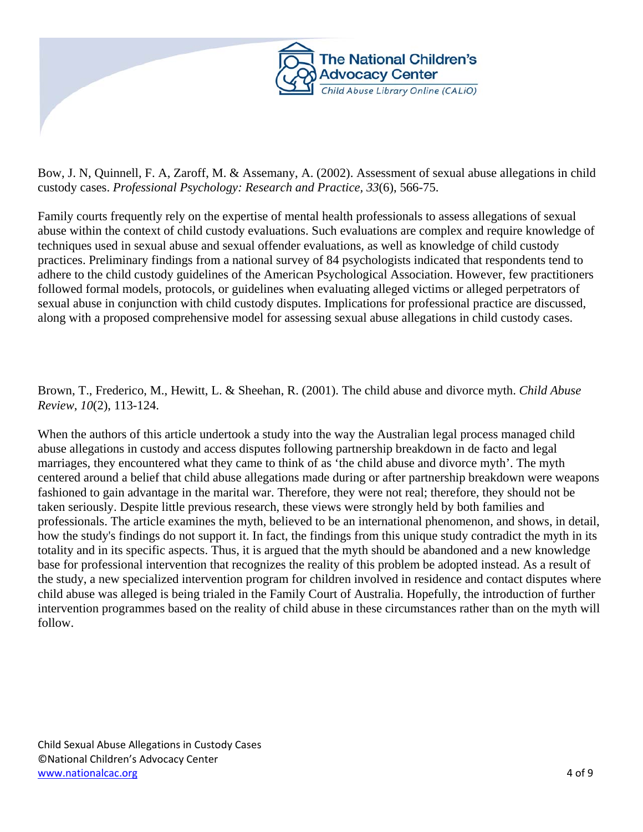

Bow, J. N, Quinnell, F. A, Zaroff, M. & Assemany, A. (2002). Assessment of sexual abuse allegations in child custody cases. *Professional Psychology: Research and Practice, 33*(6), 566-75.

Family courts frequently rely on the expertise of mental health professionals to assess allegations of sexual abuse within the context of child custody evaluations. Such evaluations are complex and require knowledge of techniques used in sexual abuse and sexual offender evaluations, as well as knowledge of child custody practices. Preliminary findings from a national survey of 84 psychologists indicated that respondents tend to adhere to the child custody guidelines of the American Psychological Association. However, few practitioners followed formal models, protocols, or guidelines when evaluating alleged victims or alleged perpetrators of sexual abuse in conjunction with child custody disputes. Implications for professional practice are discussed, along with a proposed comprehensive model for assessing sexual abuse allegations in child custody cases.

Brown, T., Frederico, M., Hewitt, L. & Sheehan, R. (2001). The child abuse and divorce myth. *Child Abuse Review*, *10*(2), 113-124.

When the authors of this article undertook a study into the way the Australian legal process managed child abuse allegations in custody and access disputes following partnership breakdown in de facto and legal marriages, they encountered what they came to think of as 'the child abuse and divorce myth'. The myth centered around a belief that child abuse allegations made during or after partnership breakdown were weapons fashioned to gain advantage in the marital war. Therefore, they were not real; therefore, they should not be taken seriously. Despite little previous research, these views were strongly held by both families and professionals. The article examines the myth, believed to be an international phenomenon, and shows, in detail, how the study's findings do not support it. In fact, the findings from this unique study contradict the myth in its totality and in its specific aspects. Thus, it is argued that the myth should be abandoned and a new knowledge base for professional intervention that recognizes the reality of this problem be adopted instead. As a result of the study, a new specialized intervention program for children involved in residence and contact disputes where child abuse was alleged is being trialed in the Family Court of Australia. Hopefully, the introduction of further intervention programmes based on the reality of child abuse in these circumstances rather than on the myth will follow.

Child Sexual Abuse Allegations in Custody Cases ©National Children's Advocacy Center www.nationalcac.org 4 of 9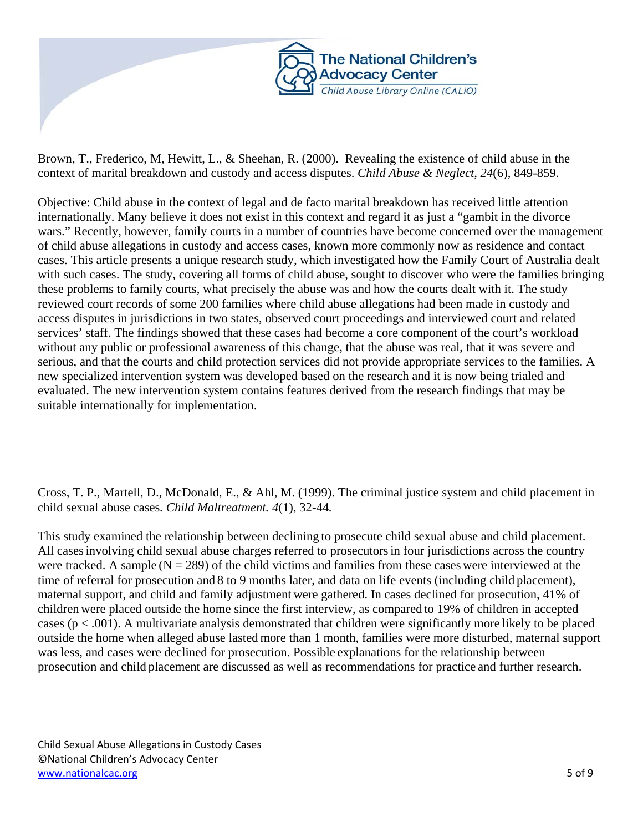

Brown, T., Frederico, M, Hewitt, L., & Sheehan, R. (2000). Revealing the existence of child abuse in the context of marital breakdown and custody and access disputes. *Child Abuse & Neglect*, *24*(6), 849-859.

Objective: Child abuse in the context of legal and de facto marital breakdown has received little attention internationally. Many believe it does not exist in this context and regard it as just a "gambit in the divorce wars." Recently, however, family courts in a number of countries have become concerned over the management of child abuse allegations in custody and access cases, known more commonly now as residence and contact cases. This article presents a unique research study, which investigated how the Family Court of Australia dealt with such cases. The study, covering all forms of child abuse, sought to discover who were the families bringing these problems to family courts, what precisely the abuse was and how the courts dealt with it. The study reviewed court records of some 200 families where child abuse allegations had been made in custody and access disputes in jurisdictions in two states, observed court proceedings and interviewed court and related services' staff. The findings showed that these cases had become a core component of the court's workload without any public or professional awareness of this change, that the abuse was real, that it was severe and serious, and that the courts and child protection services did not provide appropriate services to the families. A new specialized intervention system was developed based on the research and it is now being trialed and evaluated. The new intervention system contains features derived from the research findings that may be suitable internationally for implementation.

Cross, T. P., Martell, D., McDonald, E., & Ahl, M. (1999). The criminal justice system and child placement in child sexual abuse cases*. Child Maltreatment. 4*(1), 32-44*.*

This study examined the relationship between declining to prosecute child sexual abuse and child placement. All cases involving child sexual abuse charges referred to prosecutors in four jurisdictions across the country were tracked. A sample  $(N = 289)$  of the child victims and families from these cases were interviewed at the time of referral for prosecution and 8 to 9 months later, and data on life events (including child placement), maternal support, and child and family adjustment were gathered. In cases declined for prosecution, 41% of children were placed outside the home since the first interview, as compared to 19% of children in accepted cases ( $p < .001$ ). A multivariate analysis demonstrated that children were significantly more likely to be placed outside the home when alleged abuse lasted more than 1 month, families were more disturbed, maternal support was less, and cases were declined for prosecution. Possible explanations for the relationship between prosecution and child placement are discussed as well as recommendations for practice and further research.

Child Sexual Abuse Allegations in Custody Cases ©National Children's Advocacy Center www.nationalcac.org 5 of 9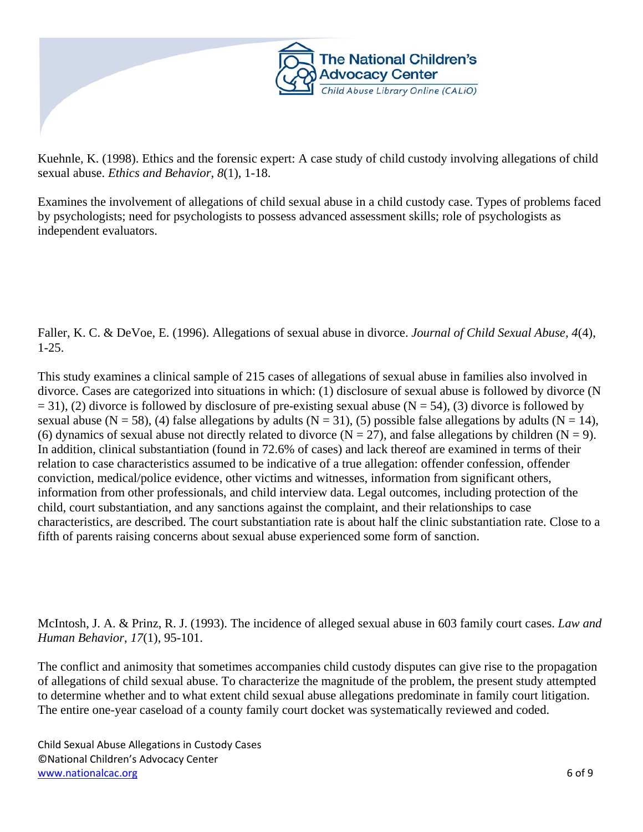

Kuehnle, K. (1998). Ethics and the forensic expert: A case study of child custody involving allegations of child sexual abuse. *Ethics and Behavior*, *8*(1), 1-18.

Examines the involvement of allegations of child sexual abuse in a child custody case. Types of problems faced by psychologists; need for psychologists to possess advanced assessment skills; role of psychologists as independent evaluators.

Faller, K. C. & DeVoe, E. (1996). Allegations of sexual abuse in divorce. *Journal of Child Sexual Abuse, 4*(4), 1-25.

This study examines a clinical sample of 215 cases of allegations of sexual abuse in families also involved in divorce. Cases are categorized into situations in which: (1) disclosure of sexual abuse is followed by divorce (N  $= 31$ , (2) divorce is followed by disclosure of pre-existing sexual abuse (N = 54), (3) divorce is followed by sexual abuse (N = 58), (4) false allegations by adults (N = 31), (5) possible false allegations by adults (N = 14), (6) dynamics of sexual abuse not directly related to divorce  $(N = 27)$ , and false allegations by children  $(N = 9)$ . In addition, clinical substantiation (found in 72.6% of cases) and lack thereof are examined in terms of their relation to case characteristics assumed to be indicative of a true allegation: offender confession, offender conviction, medical/police evidence, other victims and witnesses, information from significant others, information from other professionals, and child interview data. Legal outcomes, including protection of the child, court substantiation, and any sanctions against the complaint, and their relationships to case characteristics, are described. The court substantiation rate is about half the clinic substantiation rate. Close to a fifth of parents raising concerns about sexual abuse experienced some form of sanction.

McIntosh, J. A. & Prinz, R. J. (1993). The incidence of alleged sexual abuse in 603 family court cases. *Law and Human Behavior*, *17*(1), 95-101.

The conflict and animosity that sometimes accompanies child custody disputes can give rise to the propagation of allegations of child sexual abuse. To characterize the magnitude of the problem, the present study attempted to determine whether and to what extent child sexual abuse allegations predominate in family court litigation. The entire one-year caseload of a county family court docket was systematically reviewed and coded.

Child Sexual Abuse Allegations in Custody Cases ©National Children's Advocacy Center www.nationalcac.org 6 of 9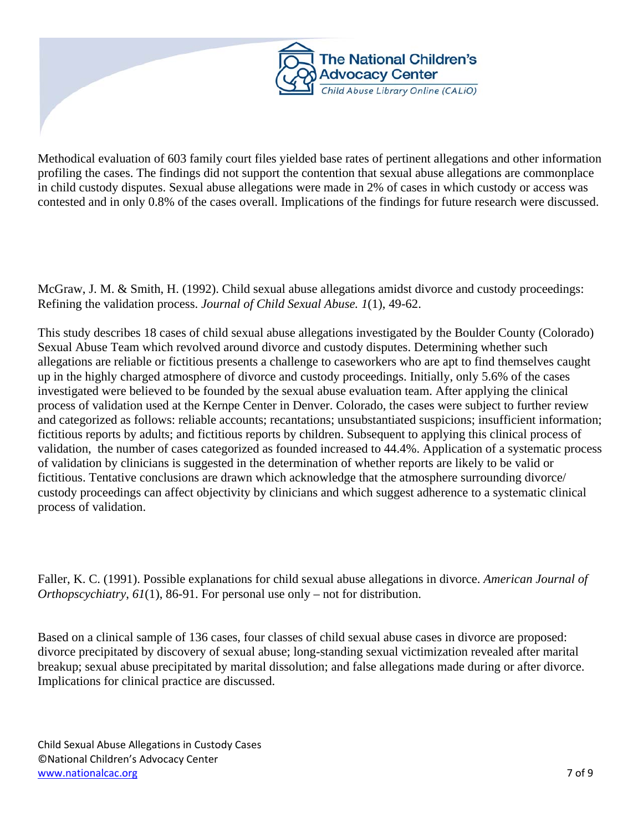

Methodical evaluation of 603 family court files yielded base rates of pertinent allegations and other information profiling the cases. The findings did not support the contention that sexual abuse allegations are commonplace in child custody disputes. Sexual abuse allegations were made in 2% of cases in which custody or access was contested and in only 0.8% of the cases overall. Implications of the findings for future research were discussed.

McGraw, J. M. & Smith, H. (1992). Child sexual abuse allegations amidst divorce and custody proceedings: Refining the validation process. *Journal of Child Sexual Abuse. 1*(1), 49-62.

This study describes 18 cases of child sexual abuse allegations investigated by the Boulder County (Colorado) Sexual Abuse Team which revolved around divorce and custody disputes. Determining whether such allegations are reliable or fictitious presents a challenge to caseworkers who are apt to find themselves caught up in the highly charged atmosphere of divorce and custody proceedings. Initially, only 5.6% of the cases investigated were believed to be founded by the sexual abuse evaluation team. After applying the clinical process of validation used at the Kernpe Center in Denver. Colorado, the cases were subject to further review and categorized as follows: reliable accounts; recantations; unsubstantiated suspicions; insufficient information; fictitious reports by adults; and fictitious reports by children. Subsequent to applying this clinical process of validation, the number of cases categorized as founded increased to 44.4%. Application of a systematic process of validation by clinicians is suggested in the determination of whether reports are likely to be valid or fictitious. Tentative conclusions are drawn which acknowledge that the atmosphere surrounding divorce/ custody proceedings can affect objectivity by clinicians and which suggest adherence to a systematic clinical process of validation.

Faller, K. C. (1991). Possible explanations for child sexual abuse allegations in divorce. *American Journal of Orthopscychiatry*, *61*(1), 86-91. For personal use only – not for distribution.

Based on a clinical sample of 136 cases, four classes of child sexual abuse cases in divorce are proposed: divorce precipitated by discovery of sexual abuse; long-standing sexual victimization revealed after marital breakup; sexual abuse precipitated by marital dissolution; and false allegations made during or after divorce. Implications for clinical practice are discussed.

Child Sexual Abuse Allegations in Custody Cases ©National Children's Advocacy Center www.nationalcac.org *7* of 9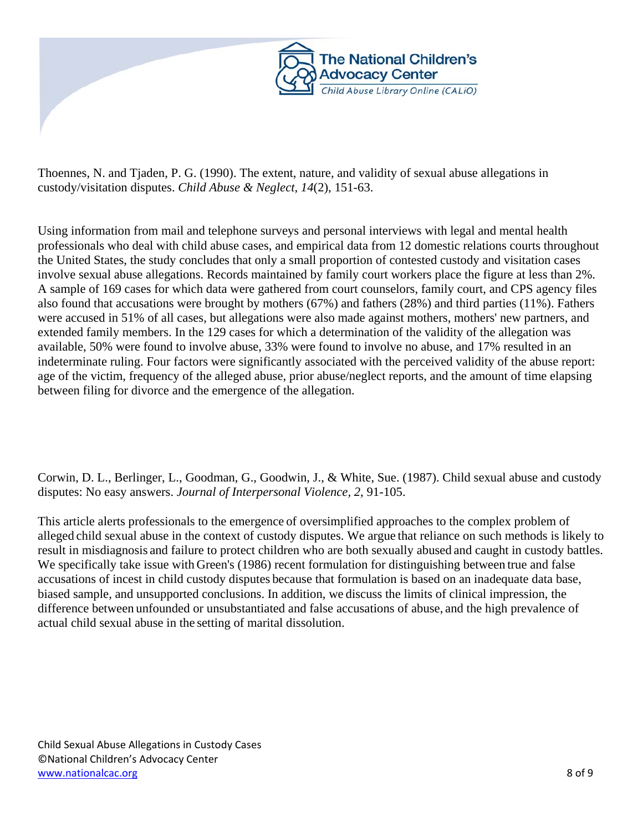

Thoennes, N. and Tjaden, P. G. (1990). The extent, nature, and validity of sexual abuse allegations in custody/visitation disputes. *Child Abuse & Neglect*, *14*(2), 151-63.

Using information from mail and telephone surveys and personal interviews with legal and mental health professionals who deal with child abuse cases, and empirical data from 12 domestic relations courts throughout the United States, the study concludes that only a small proportion of contested custody and visitation cases involve sexual abuse allegations. Records maintained by family court workers place the figure at less than 2%. A sample of 169 cases for which data were gathered from court counselors, family court, and CPS agency files also found that accusations were brought by mothers (67%) and fathers (28%) and third parties (11%). Fathers were accused in 51% of all cases, but allegations were also made against mothers, mothers' new partners, and extended family members. In the 129 cases for which a determination of the validity of the allegation was available, 50% were found to involve abuse, 33% were found to involve no abuse, and 17% resulted in an indeterminate ruling. Four factors were significantly associated with the perceived validity of the abuse report: age of the victim, frequency of the alleged abuse, prior abuse/neglect reports, and the amount of time elapsing between filing for divorce and the emergence of the allegation.

Corwin, D. L., Berlinger, L., Goodman, G., Goodwin, J., & White, Sue. (1987). Child sexual abuse and custody disputes: No easy answers. *Journal of Interpersonal Violence, 2*, 91-105.

This article alerts professionals to the emergence of oversimplified approaches to the complex problem of alleged child sexual abuse in the context of custody disputes. We argue that reliance on such methods is likely to result in misdiagnosis and failure to protect children who are both sexually abused and caught in custody battles. We specifically take issue with Green's (1986) recent formulation for distinguishing between true and false accusations of incest in child custody disputes because that formulation is based on an inadequate data base, biased sample, and unsupported conclusions. In addition, we discuss the limits of clinical impression, the difference between unfounded or unsubstantiated and false accusations of abuse, and the high prevalence of actual child sexual abuse in the setting of marital dissolution.

Child Sexual Abuse Allegations in Custody Cases ©National Children's Advocacy Center www.nationalcac.org 8 of 9